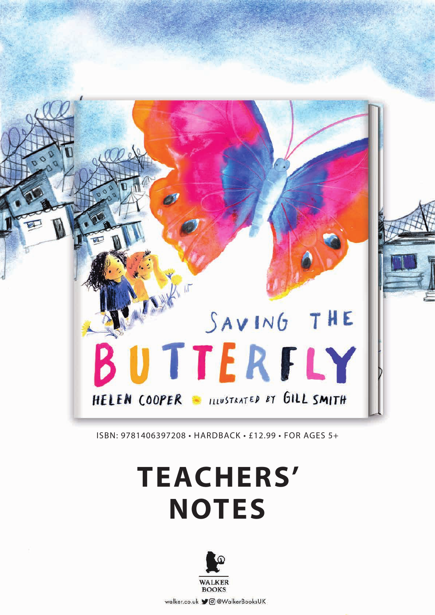

ISBN: 9781406397208 • HARDBACK • £12.99 • FOR AGES 5+

# **TEACHERS' NOTES**

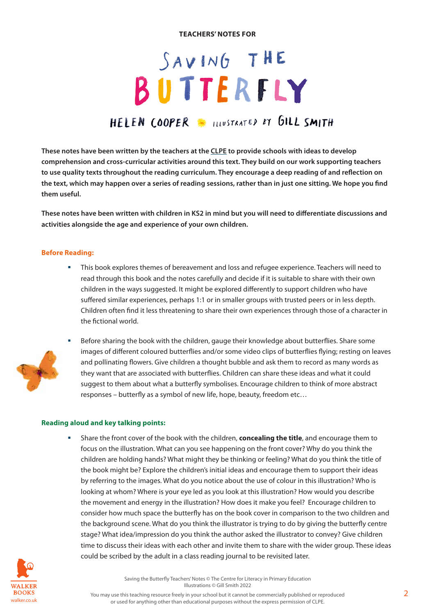#### **TEACHERS' NOTES FOR**

# $SAVING THE$ BUTTERFLY HEIEN COOPER INVITANTED BY GILL SMITH

**These notes have been written by the teachers at the CLPE to provide schools with ideas to develop comprehension and cross-curricular activities around this text. They build on our work supporting teachers to use quality texts throughout the reading curriculum. They encourage a deep reading of and reflection on the text, which may happen over a series of reading sessions, rather than in just one sitting. We hope you find them useful.**

**These notes have been written with children in KS2 in mind but you will need to differentiate discussions and activities alongside the age and experience of your own children.**

#### **Before Reading:**

 This book explores themes of bereavement and loss and refugee experience. Teachers will need to read through this book and the notes carefully and decide if it is suitable to share with their own children in the ways suggested. It might be explored differently to support children who have suffered similar experiences, perhaps 1:1 or in smaller groups with trusted peers or in less depth. Children often find it less threatening to share their own experiences through those of a character in the fictional world.



 Before sharing the book with the children, gauge their knowledge about butterflies. Share some images of different coloured butterflies and/or some video clips of butterflies flying; resting on leaves and pollinating flowers. Give children a thought bubble and ask them to record as many words as they want that are associated with butterflies. Children can share these ideas and what it could suggest to them about what a butterfly symbolises. Encourage children to think of more abstract responses – butterfly as a symbol of new life, hope, beauty, freedom etc…

#### **Reading aloud and key talking points:**

 Share the front cover of the book with the children, **concealing the title**, and encourage them to focus on the illustration. What can you see happening on the front cover? Why do you think the children are holding hands? What might they be thinking or feeling? What do you think the title of the book might be? Explore the children's initial ideas and encourage them to support their ideas by referring to the images. What do you notice about the use of colour in this illustration? Who is looking at whom? Where is your eye led as you look at this illustration? How would you describe the movement and energy in the illustration? How does it make you feel? Encourage children to consider how much space the butterfly has on the book cover in comparison to the two children and the background scene. What do you think the illustrator is trying to do by giving the butterfly centre stage? What idea/impression do you think the author asked the illustrator to convey? Give children time to discuss their ideas with each other and invite them to share with the wider group. These ideas could be scribed by the adult in a class reading journal to be revisited later.



Saving the Butterfly Teachers' Notes © The Centre for Literacy in Primary Education Illustrations © Gill Smith 2022

You may use this teaching resource freely in your school but it cannot be commercially published or reproduced walker.co.uk **or used for anything other than educational purposes without the express permission of CLPE.**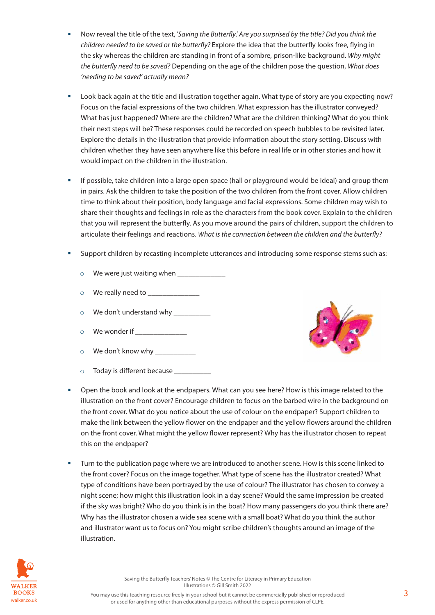- Now reveal the title of the text, '*Saving the Butterfly*.' *Are you surprised by the title? Did you think the children needed to be saved or the butterfly?* Explore the idea that the butterfly looks free, flying in the sky whereas the children are standing in front of a sombre, prison-like background. *Why might the butterfly need to be saved?* Depending on the age of the children pose the question, *What does 'needing to be saved' actually mean?*
- Look back again at the title and illustration together again. What type of story are you expecting now? Focus on the facial expressions of the two children. What expression has the illustrator conveyed? What has just happened? Where are the children? What are the children thinking? What do you think their next steps will be? These responses could be recorded on speech bubbles to be revisited later. Explore the details in the illustration that provide information about the story setting. Discuss with children whether they have seen anywhere like this before in real life or in other stories and how it would impact on the children in the illustration.
- If possible, take children into a large open space (hall or playground would be ideal) and group them in pairs. Ask the children to take the position of the two children from the front cover. Allow children time to think about their position, body language and facial expressions. Some children may wish to share their thoughts and feelings in role as the characters from the book cover. Explain to the children that you will represent the butterfly. As you move around the pairs of children, support the children to articulate their feelings and reactions. *What is the connection between the children and the butterfly?*
- Support children by recasting incomplete utterances and introducing some response stems such as:
	- $\circ$  We were just waiting when
	- $\circ$  We really need to  $\_\_$
	- o We don't understand why \_\_\_\_\_\_\_\_\_\_\_
	- $\circ$  We wonder if
	- o We don't know why \_\_\_\_\_\_\_\_\_\_\_
	- $\circ$  Today is different because



- Open the book and look at the endpapers. What can you see here? How is this image related to the illustration on the front cover? Encourage children to focus on the barbed wire in the background on the front cover. What do you notice about the use of colour on the endpaper? Support children to make the link between the yellow flower on the endpaper and the yellow flowers around the children on the front cover. What might the yellow flower represent? Why has the illustrator chosen to repeat this on the endpaper?
- Turn to the publication page where we are introduced to another scene. How is this scene linked to the front cover? Focus on the image together. What type of scene has the illustrator created? What type of conditions have been portrayed by the use of colour? The illustrator has chosen to convey a night scene; how might this illustration look in a day scene? Would the same impression be created if the sky was bright? Who do you think is in the boat? How many passengers do you think there are? Why has the illustrator chosen a wide sea scene with a small boat? What do you think the author and illustrator want us to focus on? You might scribe children's thoughts around an image of the illustration.

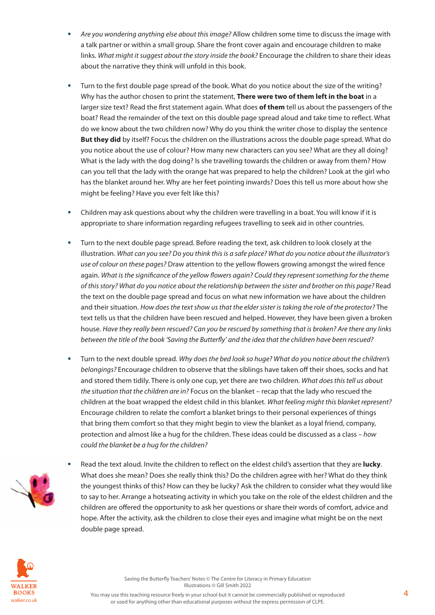- *Are you wondering anything else about this image?* Allow children some time to discuss the image with a talk partner or within a small group. Share the front cover again and encourage children to make links. *What might it suggest about the story inside the book?* Encourage the children to share their ideas about the narrative they think will unfold in this book.
- Turn to the first double page spread of the book. What do you notice about the size of the writing? Why has the author chosen to print the statement, **There were two of them left in the boat** in a larger size text? Read the first statement again. What does **of them** tell us about the passengers of the boat? Read the remainder of the text on this double page spread aloud and take time to reflect. What do we know about the two children now? Why do you think the writer chose to display the sentence **But they did** by itself? Focus the children on the illustrations across the double page spread. What do you notice about the use of colour? How many new characters can you see? What are they all doing? What is the lady with the dog doing? Is she travelling towards the children or away from them? How can you tell that the lady with the orange hat was prepared to help the children? Look at the girl who has the blanket around her. Why are her feet pointing inwards? Does this tell us more about how she might be feeling? Have you ever felt like this?
- Children may ask questions about why the children were travelling in a boat. You will know if it is appropriate to share information regarding refugees travelling to seek aid in other countries.
- Turn to the next double page spread. Before reading the text, ask children to look closely at the illustration. *What can you see? Do you think this is a safe place? What do you notice about the illustrator's use of colour on these pages?* Draw attention to the yellow flowers growing amongst the wired fence again. *What is the significance of the yellow flowers again? Could they represent something for the theme of this story? What do you notice about the relationship between the sister and brother on this page?* Read the text on the double page spread and focus on what new information we have about the children and their situation. *How does the text show us that the elder sister is taking the role of the protector?* The text tells us that the children have been rescued and helped. However, they have been given a broken house. *Have they really been rescued? Can you be rescued by something that is broken? Are there any links between the title of the book 'Saving the Butterfly' and the idea that the children have been rescued?*
- Turn to the next double spread. *Why does the bed look so huge? What do you notice about the children's belongings?* Encourage children to observe that the siblings have taken off their shoes, socks and hat and stored them tidily. There is only one cup, yet there are two children. *What does this tell us about the situation that the children are in?* Focus on the blanket – recap that the lady who rescued the children at the boat wrapped the eldest child in this blanket. *What feeling might this blanket represent?* Encourage children to relate the comfort a blanket brings to their personal experiences of things that bring them comfort so that they might begin to view the blanket as a loyal friend, company, protection and almost like a hug for the children. These ideas could be discussed as a class – *how could the blanket be a hug for the children?*
- Read the text aloud. Invite the children to reflect on the eldest child's assertion that they are **lucky**. What does she mean? Does she really think this? Do the children agree with her? What do they think the youngest thinks of this? How can they be lucky? Ask the children to consider what they would like to say to her. Arrange a hotseating activity in which you take on the role of the eldest children and the children are offered the opportunity to ask her questions or share their words of comfort, advice and hope. After the activity, ask the children to close their eyes and imagine what might be on the next double page spread.

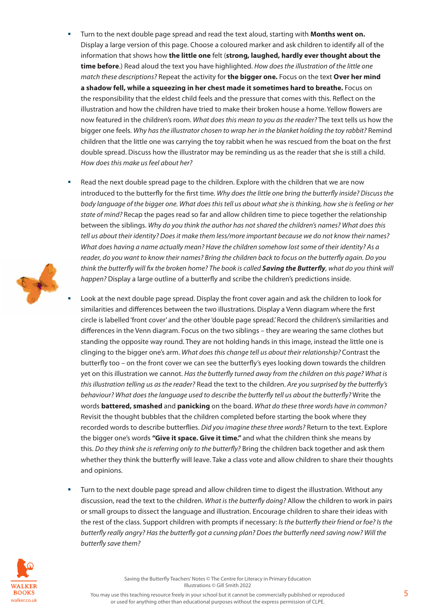- Turn to the next double page spread and read the text aloud, starting with **Months went on.** Display a large version of this page. Choose a coloured marker and ask children to identify all of the information that shows how **the little one** felt (**strong, laughed, hardly ever thought about the time before**.) Read aloud the text you have highlighted. *How does the illustration of the little one match these descriptions?* Repeat the activity for **the bigger one.** Focus on the text **Over her mind a shadow fell, while a squeezing in her chest made it sometimes hard to breathe.** Focus on the responsibility that the eldest child feels and the pressure that comes with this. Reflect on the illustration and how the children have tried to make their broken house a home. Yellow flowers are now featured in the children's room. *What does this mean to you as the reader?* The text tells us how the bigger one feels. *Why has the illustrator chosen to wrap her in the blanket holding the toy rabbit?* Remind children that the little one was carrying the toy rabbit when he was rescued from the boat on the first double spread. Discuss how the illustrator may be reminding us as the reader that she is still a child. *How does this make us feel about her?*
- Read the next double spread page to the children. Explore with the children that we are now introduced to the butterfly for the first time. *Why does the little one bring the butterfly inside? Discuss the body language of the bigger one. What does this tell us about what she is thinking, how she is feeling or her state of mind?* Recap the pages read so far and allow children time to piece together the relationship between the siblings. *Why do you think the author has not shared the children's names? What does this tell us about their identity? Does it make them less/more important because we do not know their names? What does having a name actually mean? Have the children somehow lost some of their identity? As a reader, do you want to know their names? Bring the children back to focus on the butterfly again. Do you think the butterfly will fix the broken home? The book is called Saving the Butterfly, what do you think will happen?* Display a large outline of a butterfly and scribe the children's predictions inside.
	- Look at the next double page spread. Display the front cover again and ask the children to look for similarities and differences between the two illustrations. Display a Venn diagram where the first circle is labelled 'front cover' and the other 'double page spread.' Record the children's similarities and differences in the Venn diagram. Focus on the two siblings – they are wearing the same clothes but standing the opposite way round. They are not holding hands in this image, instead the little one is clinging to the bigger one's arm. *What does this change tell us about their relationship?* Contrast the butterfly too – on the front cover we can see the butterfly's eyes looking down towards the children yet on this illustration we cannot. *Has the butterfly turned away from the children on this page? What is this illustration telling us as the reader?* Read the text to the children. *Are you surprised by the butterfly's behaviour? What does the language used to describe the butterfly tell us about the butterfly?* Write the words **battered, smashed** and **panicking** on the board. *What do these three words have in common?* Revisit the thought bubbles that the children completed before starting the book where they recorded words to describe butterflies. *Did you imagine these three words?* Return to the text. Explore the bigger one's words **"Give it space. Give it time."** and what the children think she means by this. *Do they think she is referring only to the butterfly?* Bring the children back together and ask them whether they think the butterfly will leave. Take a class vote and allow children to share their thoughts and opinions.
- Turn to the next double page spread and allow children time to digest the illustration. Without any discussion, read the text to the children. *What is the butterfly doing?* Allow the children to work in pairs or small groups to dissect the language and illustration. Encourage children to share their ideas with the rest of the class. Support children with prompts if necessary: *Is the butterfly their friend or foe? Is the butterfly really angry? Has the butterfly got a cunning plan? Does the butterfly need saving now? Will the butterfly save them?*

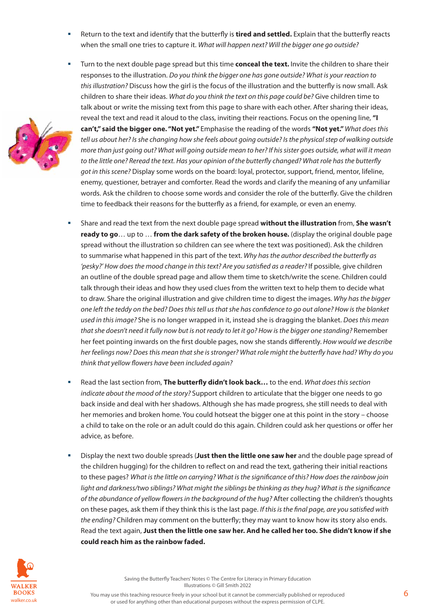Return to the text and identify that the butterfly is **tired and settled.** Explain that the butterfly reacts when the small one tries to capture it. *What will happen next? Will the bigger one go outside?*

 Turn to the next double page spread but this time **conceal the text.** Invite the children to share their

- 
- responses to the illustration. *Do you think the bigger one has gone outside? What is your reaction to this illustration?* Discuss how the girl is the focus of the illustration and the butterfly is now small. Ask children to share their ideas. *What do you think the text on this page could be?* Give children time to talk about or write the missing text from this page to share with each other. After sharing their ideas, reveal the text and read it aloud to the class, inviting their reactions. Focus on the opening line, **"I can't," said the bigger one. "Not yet."** Emphasise the reading of the words **"Not yet."** *What does this tell us about her? Is she changing how she feels about going outside? Is the physical step of walking outside more than just going out? What will going outside mean to her? If his sister goes outside, what will it mean to the little one? Reread the text. Has your opinion of the butterfly changed? What role has the butterfly got in this scene?* Display some words on the board: loyal, protector, support, friend, mentor, lifeline, enemy, questioner, betrayer and comforter. Read the words and clarify the meaning of any unfamiliar words. Ask the children to choose some words and consider the role of the butterfly. Give the children time to feedback their reasons for the butterfly as a friend, for example, or even an enemy.
	- Share and read the text from the next double page spread **without the illustration** from, **She wasn't ready to go**… up to … **from the dark safety of the broken house.** (display the original double page spread without the illustration so children can see where the text was positioned). Ask the children to summarise what happened in this part of the text. *Why has the author described the butterfly as 'pesky?' How does the mood change in this text? Are you satisfied as a reader?* If possible, give children an outline of the double spread page and allow them time to sketch/write the scene. Children could talk through their ideas and how they used clues from the written text to help them to decide what to draw. Share the original illustration and give children time to digest the images. *Why has the bigger one left the teddy on the bed? Does this tell us that she has confidence to go out alone? How is the blanket used in this image?* She is no longer wrapped in it, instead she is dragging the blanket. *Does this mean that she doesn't need it fully now but is not ready to let it go? How is the bigger one standing?* Remember her feet pointing inwards on the first double pages, now she stands differently. *How would we describe her feelings now? Does this mean that she is stronger? What role might the butterfly have had? Why do you think that yellow flowers have been included again?*
	- Read the last section from, **The butterfly didn't look back…** to the end. *What does this section indicate about the mood of the story?* Support children to articulate that the bigger one needs to go back inside and deal with her shadows. Although she has made progress, she still needs to deal with her memories and broken home. You could hotseat the bigger one at this point in the story – choose a child to take on the role or an adult could do this again. Children could ask her questions or offer her advice, as before.
	- Display the next two double spreads (**Just then the little one saw her** and the double page spread of the children hugging) for the children to reflect on and read the text, gathering their initial reactions to these pages? *What is the little on carrying? What is the significance of this? How does the rainbow join light and darkness/two siblings? What might the siblings be thinking as they hug? What is the significance of the abundance of yellow flowers in the background of the hug?* After collecting the children's thoughts on these pages, ask them if they think this is the last page. *If this is the final page, are you satisfied with the ending?* Children may comment on the butterfly; they may want to know how its story also ends. Read the text again, **Just then the little one saw her. And he called her too. She didn't know if she could reach him as the rainbow faded.**

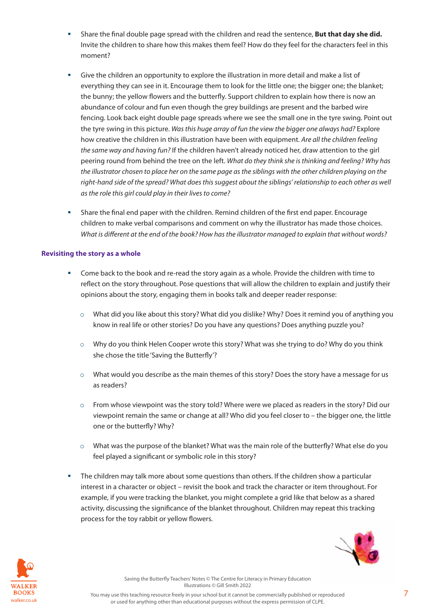- Share the final double page spread with the children and read the sentence, **But that day she did.**  Invite the children to share how this makes them feel? How do they feel for the characters feel in this moment?
- Give the children an opportunity to explore the illustration in more detail and make a list of everything they can see in it. Encourage them to look for the little one; the bigger one; the blanket; the bunny; the yellow flowers and the butterfly. Support children to explain how there is now an abundance of colour and fun even though the grey buildings are present and the barbed wire fencing. Look back eight double page spreads where we see the small one in the tyre swing. Point out the tyre swing in this picture. *Was this huge array of fun the view the bigger one always had?* Explore how creative the children in this illustration have been with equipment. *Are all the children feeling the same way and having fun?* If the children haven't already noticed her, draw attention to the girl peering round from behind the tree on the left. *What do they think she is thinking and feeling? Why has the illustrator chosen to place her on the same page as the siblings with the other children playing on the*  right-hand side of the spread? What does this suggest about the siblings' relationship to each other as well *as the role this girl could play in their lives to come?*
- Share the final end paper with the children. Remind children of the first end paper. Encourage children to make verbal comparisons and comment on why the illustrator has made those choices. *What is different at the end of the book? How has the illustrator managed to explain that without words?*

## **Revisiting the story as a whole**

- Come back to the book and re-read the story again as a whole. Provide the children with time to reflect on the story throughout. Pose questions that will allow the children to explain and justify their opinions about the story, engaging them in books talk and deeper reader response:
	- o What did you like about this story? What did you dislike? Why? Does it remind you of anything you know in real life or other stories? Do you have any questions? Does anything puzzle you?
	- $\circ$  Why do you think Helen Cooper wrote this story? What was she trying to do? Why do you think she chose the title 'Saving the Butterfly'?
	- o What would you describe as the main themes of this story? Does the story have a message for us as readers?
	- $\circ$  From whose viewpoint was the story told? Where were we placed as readers in the story? Did our viewpoint remain the same or change at all? Who did you feel closer to – the bigger one, the little one or the butterfly? Why?
	- o What was the purpose of the blanket? What was the main role of the butterfly? What else do you feel played a significant or symbolic role in this story?
- The children may talk more about some questions than others. If the children show a particular interest in a character or object – revisit the book and track the character or item throughout. For example, if you were tracking the blanket, you might complete a grid like that below as a shared activity, discussing the significance of the blanket throughout. Children may repeat this tracking process for the toy rabbit or yellow flowers.



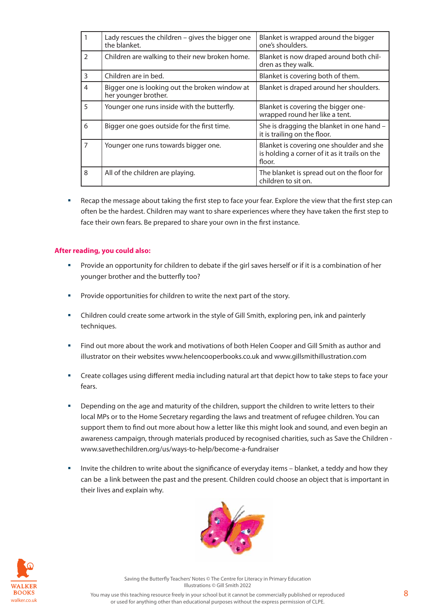|                | Lady rescues the children – gives the bigger one<br>the blanket.       | Blanket is wrapped around the bigger<br>one's shoulders.                                            |
|----------------|------------------------------------------------------------------------|-----------------------------------------------------------------------------------------------------|
| $\mathcal{P}$  | Children are walking to their new broken home.                         | Blanket is now draped around both chil-<br>dren as they walk.                                       |
| 3              | Children are in bed.                                                   | Blanket is covering both of them.                                                                   |
| 4              | Bigger one is looking out the broken window at<br>her younger brother. | Blanket is draped around her shoulders.                                                             |
| 5              | Younger one runs inside with the butterfly.                            | Blanket is covering the bigger one-<br>wrapped round her like a tent.                               |
| 6              | Bigger one goes outside for the first time.                            | She is dragging the blanket in one hand -<br>it is trailing on the floor.                           |
| $\overline{7}$ | Younger one runs towards bigger one.                                   | Blanket is covering one shoulder and she<br>is holding a corner of it as it trails on the<br>floor. |
| 8              | All of the children are playing.                                       | The blanket is spread out on the floor for<br>children to sit on.                                   |

 Recap the message about taking the first step to face your fear. Explore the view that the first step can often be the hardest. Children may want to share experiences where they have taken the first step to face their own fears. Be prepared to share your own in the first instance.

#### **After reading, you could also:**

- **Provide an opportunity for children to debate if the girl saves herself or if it is a combination of her** younger brother and the butterfly too?
- **Provide opportunities for children to write the next part of the story.**
- Children could create some artwork in the style of Gill Smith, exploring pen, ink and painterly techniques.
- Find out more about the work and motivations of both Helen Cooper and Gill Smith as author and illustrator on their websites www.helencooperbooks.co.uk and www.gillsmithillustration.com
- Create collages using different media including natural art that depict how to take steps to face your fears.
- Depending on the age and maturity of the children, support the children to write letters to their local MPs or to the Home Secretary regarding the laws and treatment of refugee children. You can support them to find out more about how a letter like this might look and sound, and even begin an awareness campaign, through materials produced by recognised charities, such as Save the Children www.savethechildren.org/us/ways-to-help/become-a-fundraiser
- **Invite the children to write about the significance of everyday items blanket, a teddy and how they** can be a link between the past and the present. Children could choose an object that is important in their lives and explain why.





Saving the Butterfly Teachers' Notes © The Centre for Literacy in Primary Education Illustrations © Gill Smith 2022

You may use this teaching resource freely in your school but it cannot be commercially published or reproduced walker.co.uk **or used for anything other than educational purposes without the express permission of CLPE.**